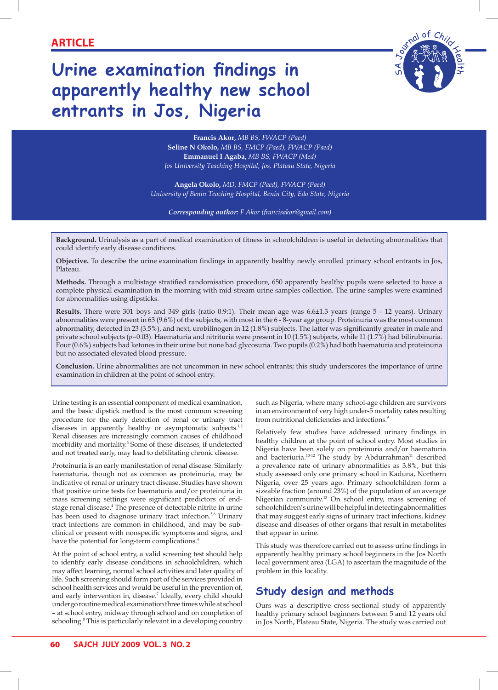#### S AJournal of Child l $\overline{\phantom{0}}$ h

# **Urine examination findings in apparently healthy new school entrants in Jos, Nigeria**

**Francis Akor,** *MB BS, FWACP (Paed)* **Seline N Okolo,** *MB BS, FMCP (Paed), FWACP (Paed)* **Emmanuel I Agaba,** *MB BS, FWACP (Med) Jos University Teaching Hospital, Jos, Plateau State, Nigeria*

**Angela Okolo,** *MD, FMCP (Paed), FWACP (Paed) University of Benin Teaching Hospital, Benin City, Edo State, Nigeria*

*Corresponding author: F Akor (francisakor@gmail.com)*

**Background.** Urinalysis as a part of medical examination of fitness in schoolchildren is useful in detecting abnormalities that could identify early disease conditions.

**Objective.** To describe the urine examination findings in apparently healthy newly enrolled primary school entrants in Jos, Plateau.

**Methods.** Through a multistage stratified randomisation procedure, 650 apparently healthy pupils were selected to have a complete physical examination in the morning with mid-stream urine samples collection. The urine samples were examined for abnormalities using dipsticks.

**Results.** There were 301 boys and 349 girls (ratio 0.9:1). Their mean age was 6.6±1.3 years (range 5 - 12 years). Urinary abnormalities were present in 63 (9.6%) of the subjects, with most in the 6 - 8-year age group. Proteinuria was the most common abnormality, detected in 23 (3.5%), and next, urobilinogen in 12 (1.8%) subjects. The latter was significantly greater in male and private school subjects (*p*=0.03). Haematuria and nitrituria were present in 10 (1.5%) subjects, while 11 (1.7%) had bilirubinuria. Four (0.6%) subjects had ketones in their urine but none had glycosuria. Two pupils (0.2%) had both haematuria and proteinuria but no associated elevated blood pressure.

**Conclusion.** Urine abnormalities are not uncommon in new school entrants; this study underscores the importance of urine examination in children at the point of school entry.

Urine testing is an essential component of medical examination, and the basic dipstick method is the most common screening procedure for the early detection of renal or urinary tract diseases in apparently healthy or asymptomatic subjects.<sup>1,2</sup> Renal diseases are increasingly common causes of childhood morbidity and mortality.<sup>3</sup> Some of these diseases, if undetected and not treated early, may lead to debilitating chronic disease.

Proteinuria is an early manifestation of renal disease. Similarly haematuria, though not as common as proteinuria, may be indicative of renal or urinary tract disease. Studies have shown that positive urine tests for haematuria and/or proteinuria in mass screening settings were significant predictors of endstage renal disease.<sup>4</sup> The presence of detectable nitrite in urine has been used to diagnose urinary tract infection.<sup>5,6</sup> Urinary tract infections are common in childhood, and may be subclinical or present with nonspecific symptoms and signs, and have the potential for long-term complications.<sup>4</sup>

At the point of school entry, a valid screening test should help to identify early disease conditions in schoolchildren, which may affect learning, normal school activities and later quality of life. Such screening should form part of the services provided in school health services and would be useful in the prevention of, and early intervention in, disease.<sup>7</sup> Ideally, every child should undergo routine medical examination three times while at school – at school entry, midway through school and on completion of schooling.<sup>8</sup> This is particularly relevant in a developing country such as Nigeria, where many school-age children are survivors in an environment of very high under-5 mortality rates resulting from nutritional deficiencies and infections.<sup>9</sup>

Relatively few studies have addressed urinary findings in healthy children at the point of school entry. Most studies in Nigeria have been solely on proteinuria and/or haematuria and bacteriuria.<sup>10-12</sup> The study by Abdurrahman<sup>11</sup> described a prevalence rate of urinary abnormalities as 3.8%, but this study assessed only one primary school in Kaduna, Northern Nigeria, over 25 years ago. Primary schoolchildren form a sizeable fraction (around 23%) of the population of an average Nigerian community.<sup>13</sup> On school entry, mass screening of schoolchildren's urine will be helpful in detecting abnormalities that may suggest early signs of urinary tract infections, kidney disease and diseases of other organs that result in metabolites that appear in urine.

This study was therefore carried out to assess urine findings in apparently healthy primary school beginners in the Jos North local government area (LGA) to ascertain the magnitude of the problem in this locality.

# **Study design and methods**

Ours was a descriptive cross-sectional study of apparently healthy primary school beginners between 5 and 12 years old in Jos North, Plateau State, Nigeria. The study was carried out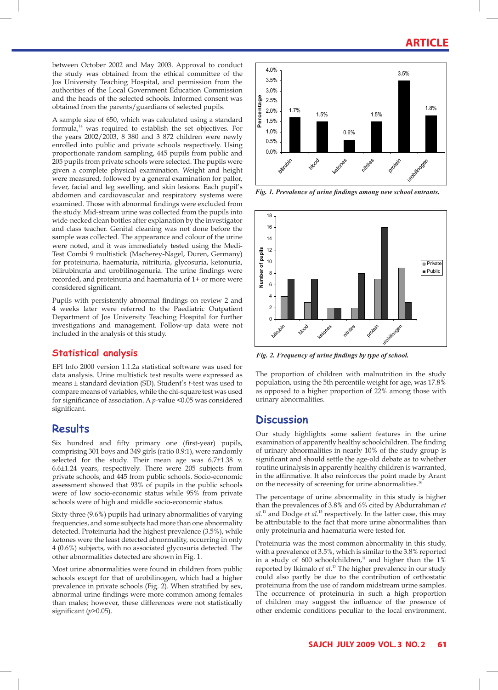# **ARTICLE**

between October 2002 and May 2003. Approval to conduct the study was obtained from the ethical committee of the Jos University Teaching Hospital, and permission from the authorities of the Local Government Education Commission and the heads of the selected schools. Informed consent was obtained from the parents/guardians of selected pupils.

A sample size of 650, which was calculated using a standard formula,14 was required to establish the set objectives. For the years 2002/2003, 8 380 and 3 872 children were newly enrolled into public and private schools respectively. Using proportionate random sampling, 445 pupils from public and 205 pupils from private schools were selected. The pupils were given a complete physical examination. Weight and height were measured, followed by a general examination for pallor, fever, facial and leg swelling, and skin lesions. Each pupil's abdomen and cardiovascular and respiratory systems were examined. Those with abnormal findings were excluded from the study. Mid-stream urine was collected from the pupils into wide-necked clean bottles after explanation by the investigator and class teacher. Genital cleaning was not done before the sample was collected. The appearance and colour of the urine were noted, and it was immediately tested using the Medi-Test Combi 9 multistick (Macherey-Nagel, Duren, Germany) for proteinuria, haematuria, nitrituria, glycosuria, ketonuria, bilirubinuria and urobilinogenuria. The urine findings were recorded, and proteinuria and haematuria of 1+ or more were considered significant.

Pupils with persistently abnormal findings on review 2 and 4 weeks later were referred to the Paediatric Outpatient Department of Jos University Teaching Hospital for further investigations and management. Follow-up data were not included in the analysis of this study.

#### **Statistical analysis**

EPI Info 2000 version 1.1.2a statistical software was used for data analysis. Urine multistick test results were expressed as means ± standard deviation (SD). Student's *t*-test was used to compare means of variables, while the chi-square test was used for significance of association. A *p*-value <0.05 was considered significant.

### **Results**

Six hundred and fifty primary one (first-year) pupils, comprising 301 boys and 349 girls (ratio 0.9:1), were randomly selected for the study. Their mean age was 6.7±1.38 v. 6.6±1.24 years, respectively. There were 205 subjects from private schools, and 445 from public schools. Socio-economic assessment showed that 93% of pupils in the public schools were of low socio-economic status while 95% from private schools were of high and middle socio-economic status.

Sixty-three (9.6%) pupils had urinary abnormalities of varying frequencies, and some subjects had more than one abnormality detected. Proteinuria had the highest prevalence (3.5%), while ketones were the least detected abnormality, occurring in only 4 (0.6%) subjects, with no associated glycosuria detected. The other abnormalities detected are shown in Fig. 1.

Most urine abnormalities were found in children from public schools except for that of urobilinogen, which had a higher prevalence in private schools (Fig. 2). When stratified by sex, abnormal urine findings were more common among females than males; however, these differences were not statistically significant ( $p$ >0.05).



Fig. 1. Prevalence of urine findings among new school entrants.



Fig. 2. Frequency of urine findings by type of school.

The proportion of children with malnutrition in the study population, using the 5th percentile weight for age, was 17.8% as opposed to a higher proportion of 22% among those with urinary abnormalities. as opposed to a higher proportion of 22% among those with urinary abnormalities.

# **Discussion**

Our study highlights some salient features in the urine examination of apparently healthy schoolchildren. The finding of urinary abnormalities in nearly 10% of the study group is 1 significant and should settle the age-old debate as to whether routine urinalysis in apparently healthy children is warranted, in the affirmative. It also reinforces the point made by Arant on the necessity of screening for urine abnormalities.<sup>16</sup>

The percentage of urine abnormality in this study is higher than the prevalences of 3.8% and 6% cited by Abdurrahman *et al.*11 and Dodge *et al.*15 respectively. In the latter case, this may be attributable to the fact that more urine abnormalities than only proteinuria and haematuria were tested for.

Proteinuria was the most common abnormality in this study, with a prevalence of 3.5%, which is similar to the 3.8% reported in a study of 600 schoolchildren, $11$  and higher than the 1% reported by Ikimalo *et al.*17 The higher prevalence in our study could also partly be due to the contribution of orthostatic proteinuria from the use of random midstream urine samples. The occurrence of proteinuria in such a high proportion of children may suggest the influence of the presence of other endemic conditions peculiar to the local environment.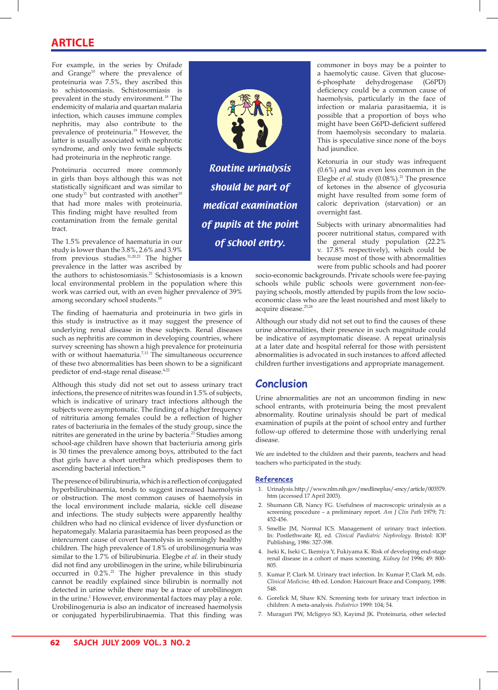# **ARTICLE**

For example, in the series by Onifade and Grange<sup>10</sup> where the prevalence of proteinuria was 7.5%, they ascribed this to schistosomiasis. Schistosomiasis is prevalent in the study environment.<sup>18</sup> The endemicity of malaria and quartan malaria infection, which causes immune complex nephritis, may also contribute to the prevalence of proteinuria.19 However, the latter is usually associated with nephrotic syndrome, and only two female subjects had proteinuria in the nephrotic range.

Proteinuria occurred more commonly in girls than boys although this was not statistically significant and was similar to one study<sup>11</sup> but contrasted with another<sup>10</sup> that had more males with proteinuria. This finding might have resulted from contamination from the female genital tract.

The 1.5% prevalence of haematuria in our study is lower than the 3.8%, 2.6% and 3.9% from previous studies.<sup>11,20,21</sup> The higher prevalence in the latter was ascribed by

the authors to schistosomiasis.21 Schistosomiasis is a known local environmental problem in the population where this work was carried out, with an even higher prevalence of 39% Aamong secondary school students.<sup>18</sup>

The finding of haematuria and proteinuria in two girls in this study is instructive as it may suggest the presence of underlying renal disease in these subjects. Renal diseases such as nephritis are common in developing countries, where survey screening has shown a high prevalence for proteinuria with or without haematuria.<sup>7,13</sup> The simultaneous occurrence of these two abnormalities has been shown to be a significant predictor of end-stage renal disease.<sup>4,22</sup>

Although this study did not set out to assess urinary tract infections, the presence of nitrites was found in 1.5% of subjects, which is indicative of urinary tract infections although the subjects were asymptomatic. The finding of a higher frequency of nitrituria among females could be a reflection of higher rates of bacteriuria in the females of the study group, since the nitrites are generated in the urine by bacteria.<sup>23</sup> Studies among school-age children have shown that bacteriuria among girls is 30 times the prevalence among boys, attributed to the fact that girls have a short urethra which predisposes them to ascending bacterial infection.<sup>24</sup>

The presence of bilirubinuria, which is a reflection of conjugated hyperbilirubinaemia, tends to suggest increased haemolysis or obstruction. The most common causes of haemolysis in the local environment include malaria, sickle cell disease and infections. The study subjects were apparently healthy children who had no clinical evidence of liver dysfunction or hepatomegaly. Malaria parasitaemia has been proposed as the intercurrent cause of covert haemolysis in seemingly healthy children. The high prevalence of 1.8% of urobilinogenuria was similar to the 1.7% of bilirubinuria. Elegbe *et al.* in their study did not find any urobilinogen in the urine, while bilirubinuria occurred in 0.2%.<sup>21</sup> The higher prevalence in this study cannot be readily explained since bilirubin is normally not detected in urine while there may be a trace of urobilinogen in the urine.<sup>1</sup> However, environmental factors may play a role. Urobilinogenuria is also an indicator of increased haemolysis or conjugated hyperbilirubinaemia. That this finding was



Routine urinalysis<br>Should be part of should be part of medical examination A of pupils at the point of school entry. on

commoner in boys may be a pointer to a haemolytic cause. Given that glucose-6-phosphate dehydrogenase (G6PD) deficiency could be a common cause of haemolysis, particularly in the face of infection or malaria parasitaemia, it is possible that a proportion of boys who might have been G6PD-deficient suffered from haemolysis secondary to malaria. This is speculative since none of the boys had jaundice.

Ketonuria in our study was infrequent (0.6%) and was even less common in the Elegbe *et al.* study (0.08%).<sup>21</sup> The presence of ketones in the absence of glycosuria might have resulted from some form of caloric deprivation (starvation) or an overnight fast.

Subjects with urinary abnormalities had poorer nutritional status, compared with the general study population (22.2% v. 17.8% respectively), which could be because most of those with abnormalities were from public schools and had poorer

socio-economic backgrounds. Private schools were fee-paying schools while public schools were government non-feepaying schools, mostly attended by pupils from the low socioeconomic class who are the least nourished and most likely to h acquire disease.<sup>25,26</sup> Formulation is a known<br>
socio-economy<br>
where this schools where the schools where the schools where  $\frac{1}{2}$ 

> Although our study did not set out to find the causes of these urine abnormalities, their presence in such magnitude could be indicative of asymptomatic disease. A repeat urinalysis at a later date and hospital referral for those with persistent abnormalities is advocated in such instances to afford affected children further investigations and appropriate management.

### **Conclusion**

Urine abnormalities are not an uncommon finding in new school entrants, with proteinuria being the most prevalent abnormality. Routine urinalysis should be part of medical examination of pupils at the point of school entry and further follow-up offered to determine those with underlying renal disease.

We are indebted to the children and their parents, teachers and head teachers who participated in the study.

#### **References**

- 1. Urinalysis. http://www.nlm.nih.gov/medlineplus/-ency/article/003579. htm (accessed 17 April 2003).
- 2. Shumann GB, Nancy FG. Usefulness of macroscopic urinalysis as a screening procedure – a preliminary report. *Am J Clin Path* 1979; 71: 452-456.
- 3. Smellie JM, Normal ICS. Management of urinary tract infection. In: Postlethwaite RJ, ed. *Clinical Paediatric Nephrology.* Bristol: IOP Publishing, 1986: 327-398.
- 4. Iseki K, Iseki C, Ikemiya Y, Fukiyama K. Risk of developing end-stage renal disease in a cohort of mass screening. *Kidney Int* 1996; 49: 800- 805.
- 5. Kumar P, Clark M. Urinary tract infection. In: Kumar P, Clark M, eds. *Clinical Medicine,* 4th ed. London: Harcourt Brace and Company, 1998: 548.
- 6. Gorelick M, Shaw KN. Screening tests for urinary tract infection in children: A meta-analysis. *Pediatrics* 1999: 104; 54.
- 7. Muraguri PW, Mcligeyo SO, Kayimd JK. Proteinuria, other selected